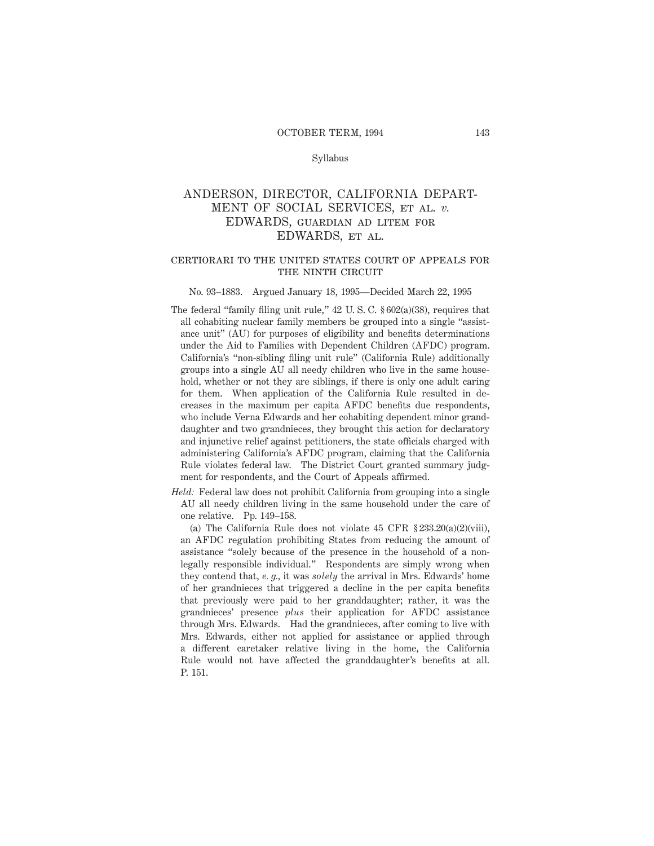## Syllabus

# ANDERSON, DIRECTOR, CALIFORNIA DEPART-MENT OF SOCIAL SERVICES, et al. *v.* EDWARDS, guardian ad litem for EDWARDS, et al.

## certiorari to the united states court of appeals for THE NINTH CIRCUIT

## No. 93–1883. Argued January 18, 1995—Decided March 22, 1995

- The federal "family filing unit rule," 42 U. S. C. § 602(a)(38), requires that all cohabiting nuclear family members be grouped into a single "assistance unit" (AU) for purposes of eligibility and benefits determinations under the Aid to Families with Dependent Children (AFDC) program. California's "non-sibling filing unit rule" (California Rule) additionally groups into a single AU all needy children who live in the same household, whether or not they are siblings, if there is only one adult caring for them. When application of the California Rule resulted in decreases in the maximum per capita AFDC benefits due respondents, who include Verna Edwards and her cohabiting dependent minor granddaughter and two grandnieces, they brought this action for declaratory and injunctive relief against petitioners, the state officials charged with administering California's AFDC program, claiming that the California Rule violates federal law. The District Court granted summary judgment for respondents, and the Court of Appeals affirmed.
- *Held:* Federal law does not prohibit California from grouping into a single AU all needy children living in the same household under the care of one relative. Pp. 149–158.

(a) The California Rule does not violate 45 CFR  $\S 233.20(a)(2)(viii)$ , an AFDC regulation prohibiting States from reducing the amount of assistance "solely because of the presence in the household of a nonlegally responsible individual." Respondents are simply wrong when they contend that, *e. g.,* it was *solely* the arrival in Mrs. Edwards' home of her grandnieces that triggered a decline in the per capita benefits that previously were paid to her granddaughter; rather, it was the grandnieces' presence *plus* their application for AFDC assistance through Mrs. Edwards. Had the grandnieces, after coming to live with Mrs. Edwards, either not applied for assistance or applied through a different caretaker relative living in the home, the California Rule would not have affected the granddaughter's benefits at all. P. 151.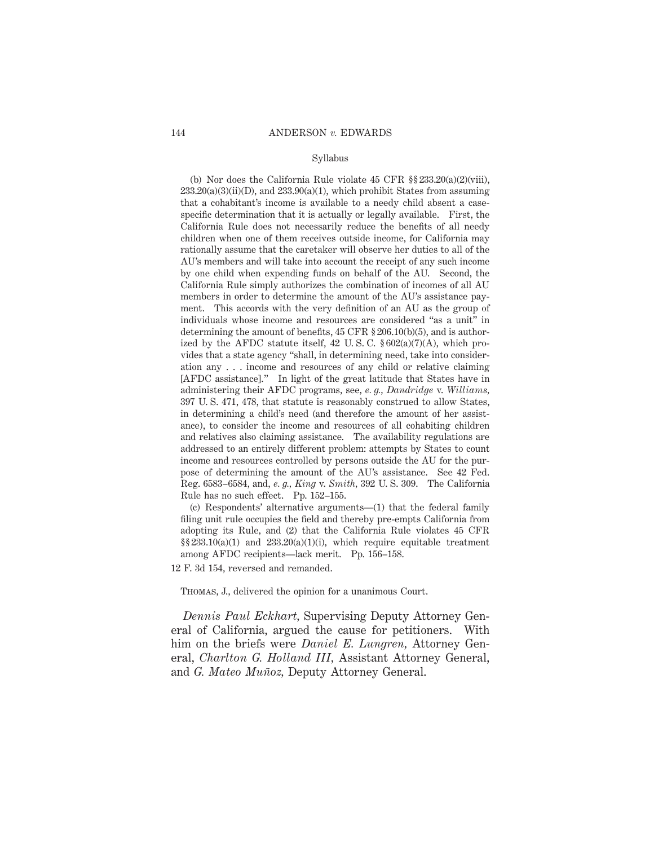### Syllabus

(b) Nor does the California Rule violate  $45$  CFR  $\S$  $\S$  $233.20(a)(2)(viii)$ ,  $233.20(a)(3)(ii)(D)$ , and  $233.90(a)(1)$ , which prohibit States from assuming that a cohabitant's income is available to a needy child absent a casespecific determination that it is actually or legally available. First, the California Rule does not necessarily reduce the benefits of all needy children when one of them receives outside income, for California may rationally assume that the caretaker will observe her duties to all of the AU's members and will take into account the receipt of any such income by one child when expending funds on behalf of the AU. Second, the California Rule simply authorizes the combination of incomes of all AU members in order to determine the amount of the AU's assistance payment. This accords with the very definition of an AU as the group of individuals whose income and resources are considered "as a unit" in determining the amount of benefits, 45 CFR § 206.10(b)(5), and is authorized by the AFDC statute itself,  $42 \text{ U.S. C. }$   $602(a)(7)(A)$ , which provides that a state agency "shall, in determining need, take into consideration any . . . income and resources of any child or relative claiming [AFDC assistance]." In light of the great latitude that States have in administering their AFDC programs, see, *e. g., Dandridge* v. *Williams,* 397 U. S. 471, 478, that statute is reasonably construed to allow States, in determining a child's need (and therefore the amount of her assistance), to consider the income and resources of all cohabiting children and relatives also claiming assistance. The availability regulations are addressed to an entirely different problem: attempts by States to count income and resources controlled by persons outside the AU for the purpose of determining the amount of the AU's assistance. See 42 Fed. Reg. 6583–6584, and, *e. g., King* v. *Smith,* 392 U. S. 309. The California Rule has no such effect. Pp. 152–155.

(c) Respondents' alternative arguments—(1) that the federal family filing unit rule occupies the field and thereby pre-empts California from adopting its Rule, and (2) that the California Rule violates 45 CFR  $\S$ §233.10(a)(1) and 233.20(a)(1)(i), which require equitable treatment among AFDC recipients—lack merit. Pp. 156–158.

12 F. 3d 154, reversed and remanded.

Thomas, J., delivered the opinion for a unanimous Court.

*Dennis Paul Eckhart,* Supervising Deputy Attorney General of California, argued the cause for petitioners. With him on the briefs were *Daniel E. Lungren,* Attorney General, *Charlton G. Holland III,* Assistant Attorney General, and *G. Mateo Muñoz*, Deputy Attorney General.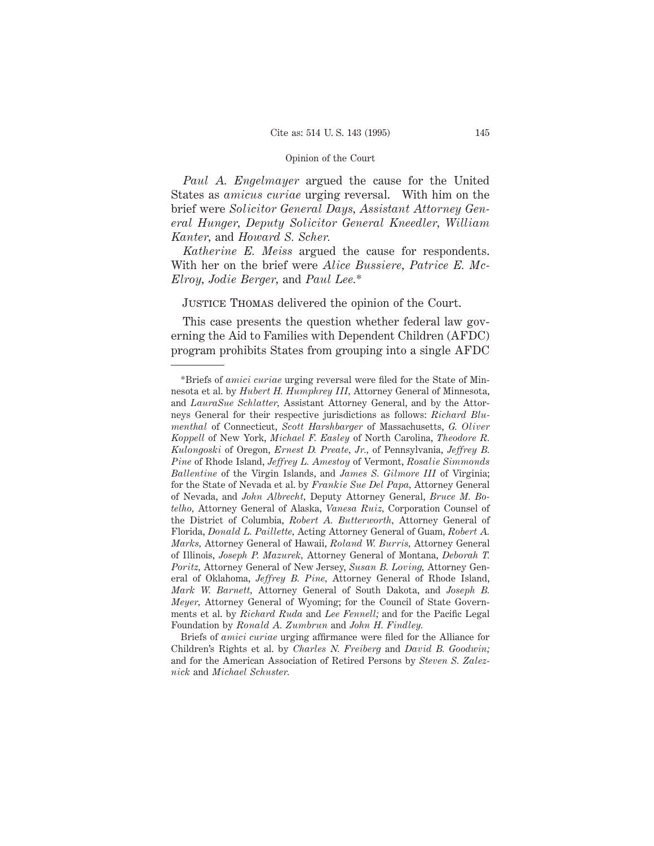*Paul A. Engelmayer* argued the cause for the United States as *amicus curiae* urging reversal. With him on the brief were *Solicitor General Days, Assistant Attorney General Hunger, Deputy Solicitor General Kneedler, William Kanter,* and *Howard S. Scher.*

*Katherine E. Meiss* argued the cause for respondents. With her on the brief were *Alice Bussiere, Patrice E. Mc-Elroy, Jodie Berger,* and *Paul Lee.*\*

Justice Thomas delivered the opinion of the Court.

This case presents the question whether federal law governing the Aid to Families with Dependent Children (AFDC) program prohibits States from grouping into a single AFDC

Briefs of *amici curiae* urging affirmance were filed for the Alliance for Children's Rights et al. by *Charles N. Freiberg* and *David B. Goodwin;* and for the American Association of Retired Persons by *Steven S. Zaleznick* and *Michael Schuster.*

<sup>\*</sup>Briefs of *amici curiae* urging reversal were filed for the State of Minnesota et al. by *Hubert H. Humphrey III,* Attorney General of Minnesota, and *LauraSue Schlatter,* Assistant Attorney General, and by the Attorneys General for their respective jurisdictions as follows: *Richard Blumenthal* of Connecticut, *Scott Harshbarger* of Massachusetts, *G. Oliver Koppell* of New York, *Michael F. Easley* of North Carolina, *Theodore R. Kulongoski* of Oregon, *Ernest D. Preate, Jr.,* of Pennsylvania, *Jeffrey B. Pine* of Rhode Island, *Jeffrey L. Amestoy* of Vermont, *Rosalie Simmonds Ballentine* of the Virgin Islands, and *James S. Gilmore III* of Virginia; for the State of Nevada et al. by *Frankie Sue Del Papa,* Attorney General of Nevada, and *John Albrecht,* Deputy Attorney General, *Bruce M. Botelho,* Attorney General of Alaska, *Vanesa Ruiz,* Corporation Counsel of the District of Columbia, *Robert A. Butterworth,* Attorney General of Florida, *Donald L. Paillette,* Acting Attorney General of Guam, *Robert A. Marks,* Attorney General of Hawaii, *Roland W. Burris,* Attorney General of Illinois, *Joseph P. Mazurek,* Attorney General of Montana, *Deborah T. Poritz,* Attorney General of New Jersey, *Susan B. Loving,* Attorney General of Oklahoma, *Jeffrey B. Pine,* Attorney General of Rhode Island, *Mark W. Barnett,* Attorney General of South Dakota, and *Joseph B. Meyer,* Attorney General of Wyoming; for the Council of State Governments et al. by *Richard Ruda* and *Lee Fennell;* and for the Pacific Legal Foundation by *Ronald A. Zumbrun* and *John H. Findley.*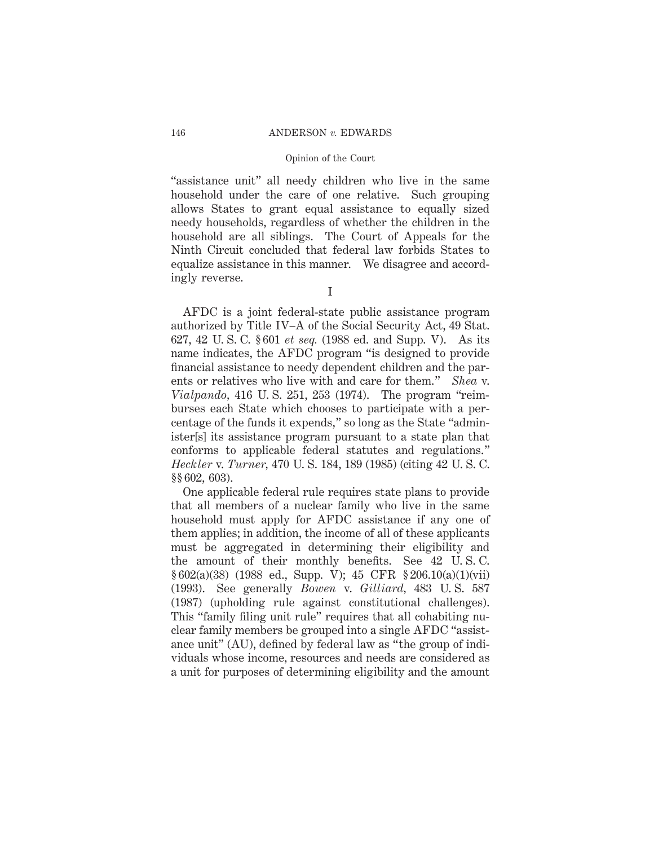## 146 ANDERSON *v.* EDWARDS

### Opinion of the Court

"assistance unit" all needy children who live in the same household under the care of one relative. Such grouping allows States to grant equal assistance to equally sized needy households, regardless of whether the children in the household are all siblings. The Court of Appeals for the Ninth Circuit concluded that federal law forbids States to equalize assistance in this manner. We disagree and accordingly reverse.

I

AFDC is a joint federal-state public assistance program authorized by Title IV–A of the Social Security Act, 49 Stat. 627, 42 U. S. C. § 601 *et seq.* (1988 ed. and Supp. V). As its name indicates, the AFDC program "is designed to provide financial assistance to needy dependent children and the parents or relatives who live with and care for them." *Shea* v. *Vialpando,* 416 U. S. 251, 253 (1974). The program "reimburses each State which chooses to participate with a percentage of the funds it expends," so long as the State "administer[s] its assistance program pursuant to a state plan that conforms to applicable federal statutes and regulations." *Heckler* v. *Turner,* 470 U. S. 184, 189 (1985) (citing 42 U. S. C. §§ 602, 603).

One applicable federal rule requires state plans to provide that all members of a nuclear family who live in the same household must apply for AFDC assistance if any one of them applies; in addition, the income of all of these applicants must be aggregated in determining their eligibility and the amount of their monthly benefits. See 42 U. S. C. § 602(a)(38) (1988 ed., Supp. V); 45 CFR § 206.10(a)(1)(vii) (1993). See generally *Bowen* v. *Gilliard,* 483 U. S. 587 (1987) (upholding rule against constitutional challenges). This "family filing unit rule" requires that all cohabiting nuclear family members be grouped into a single AFDC "assistance unit" (AU), defined by federal law as "the group of individuals whose income, resources and needs are considered as a unit for purposes of determining eligibility and the amount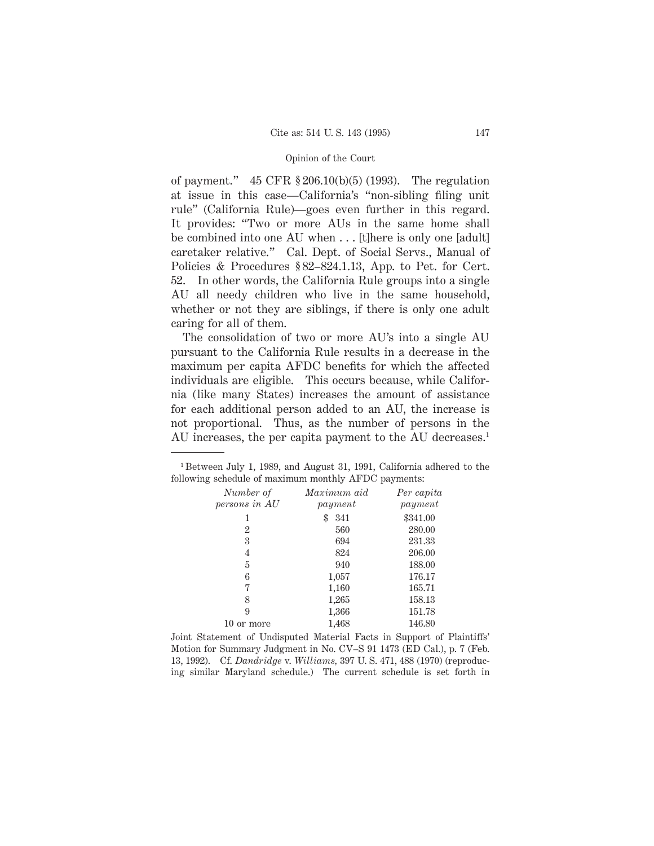of payment." 45 CFR § 206.10(b)(5) (1993). The regulation at issue in this case—California's "non-sibling filing unit rule" (California Rule)—goes even further in this regard. It provides: "Two or more AUs in the same home shall be combined into one AU when . . . [t]here is only one [adult] caretaker relative." Cal. Dept. of Social Servs., Manual of Policies & Procedures § 82–824.1.13, App. to Pet. for Cert. 52. In other words, the California Rule groups into a single AU all needy children who live in the same household, whether or not they are siblings, if there is only one adult caring for all of them.

The consolidation of two or more AU's into a single AU pursuant to the California Rule results in a decrease in the maximum per capita AFDC benefits for which the affected individuals are eligible. This occurs because, while California (like many States) increases the amount of assistance for each additional person added to an AU, the increase is not proportional. Thus, as the number of persons in the AU increases, the per capita payment to the AU decreases.<sup>1</sup>

<sup>1</sup> Between July 1, 1989, and August 31, 1991, California adhered to the following schedule of maximum monthly AFDC payments:

| Number of      | Maximum aid | Per capita |
|----------------|-------------|------------|
| persons in AU  | payment     | payment    |
|                | \$<br>341   | \$341.00   |
| $\overline{2}$ | 560         | 280.00     |
| 3              | 694         | 231.33     |
| 4              | 824         | 206.00     |
| 5              | 940         | 188.00     |
| 6              | 1,057       | 176.17     |
|                | 1,160       | 165.71     |
| 8              | 1,265       | 158.13     |
| 9              | 1,366       | 151.78     |
| 10 or more     | 1,468       | 146.80     |

Joint Statement of Undisputed Material Facts in Support of Plaintiffs' Motion for Summary Judgment in No. CV–S 91 1473 (ED Cal.), p. 7 (Feb. 13, 1992). Cf. *Dandridge* v. *Williams,* 397 U. S. 471, 488 (1970) (reproducing similar Maryland schedule.) The current schedule is set forth in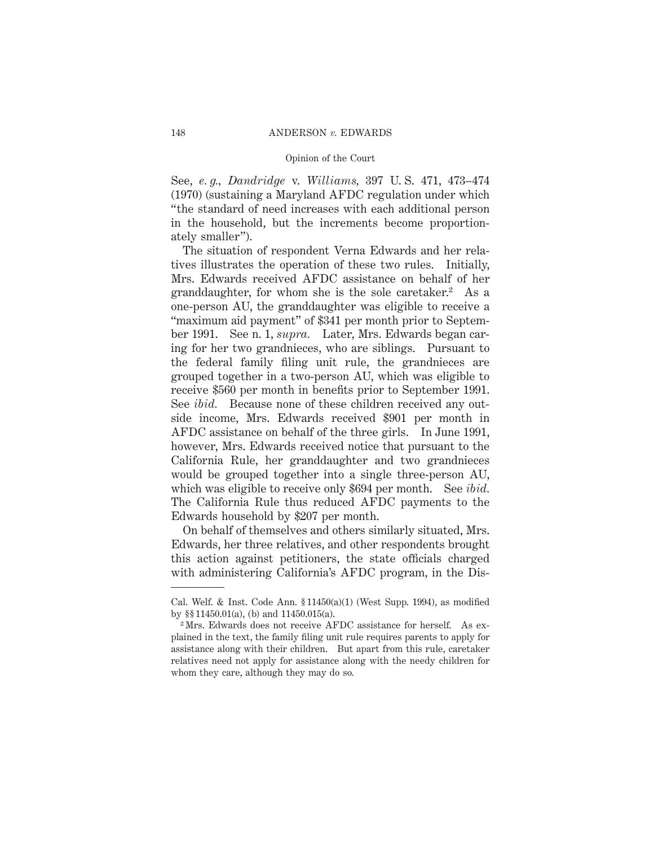See, *e. g., Dandridge* v. *Williams,* 397 U. S. 471, 473–474 (1970) (sustaining a Maryland AFDC regulation under which "the standard of need increases with each additional person in the household, but the increments become proportionately smaller").

The situation of respondent Verna Edwards and her relatives illustrates the operation of these two rules. Initially, Mrs. Edwards received AFDC assistance on behalf of her granddaughter, for whom she is the sole caretaker.<sup>2</sup> As a one-person AU, the granddaughter was eligible to receive a "maximum aid payment" of \$341 per month prior to September 1991. See n. 1, *supra.* Later, Mrs. Edwards began caring for her two grandnieces, who are siblings. Pursuant to the federal family filing unit rule, the grandnieces are grouped together in a two-person AU, which was eligible to receive \$560 per month in benefits prior to September 1991. See *ibid.* Because none of these children received any outside income, Mrs. Edwards received \$901 per month in AFDC assistance on behalf of the three girls. In June 1991, however, Mrs. Edwards received notice that pursuant to the California Rule, her granddaughter and two grandnieces would be grouped together into a single three-person AU, which was eligible to receive only \$694 per month. See *ibid.* The California Rule thus reduced AFDC payments to the Edwards household by \$207 per month.

On behalf of themselves and others similarly situated, Mrs. Edwards, her three relatives, and other respondents brought this action against petitioners, the state officials charged with administering California's AFDC program, in the Dis-

Cal. Welf. & Inst. Code Ann.  $$11450(a)(1)$  (West Supp. 1994), as modified by §§ 11450.01(a), (b) and 11450.015(a).

<sup>2</sup> Mrs. Edwards does not receive AFDC assistance for herself. As explained in the text, the family filing unit rule requires parents to apply for assistance along with their children. But apart from this rule, caretaker relatives need not apply for assistance along with the needy children for whom they care, although they may do so.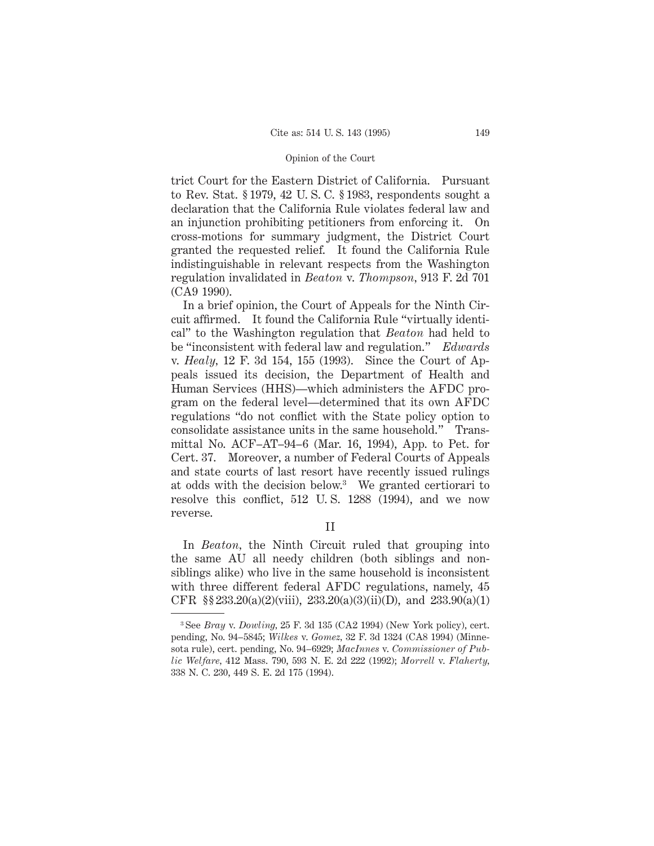trict Court for the Eastern District of California. Pursuant to Rev. Stat. § 1979, 42 U. S. C. § 1983, respondents sought a declaration that the California Rule violates federal law and an injunction prohibiting petitioners from enforcing it. On cross-motions for summary judgment, the District Court granted the requested relief. It found the California Rule indistinguishable in relevant respects from the Washington regulation invalidated in *Beaton* v. *Thompson,* 913 F. 2d 701 (CA9 1990).

In a brief opinion, the Court of Appeals for the Ninth Circuit affirmed. It found the California Rule "virtually identical" to the Washington regulation that *Beaton* had held to be "inconsistent with federal law and regulation." *Edwards* v. *Healy,* 12 F. 3d 154, 155 (1993). Since the Court of Appeals issued its decision, the Department of Health and Human Services (HHS)—which administers the AFDC program on the federal level—determined that its own AFDC regulations "do not conflict with the State policy option to consolidate assistance units in the same household." Transmittal No. ACF–AT–94–6 (Mar. 16, 1994), App. to Pet. for Cert. 37. Moreover, a number of Federal Courts of Appeals and state courts of last resort have recently issued rulings at odds with the decision below.3 We granted certiorari to resolve this conflict, 512 U. S. 1288 (1994), and we now reverse.

II

In *Beaton,* the Ninth Circuit ruled that grouping into the same AU all needy children (both siblings and nonsiblings alike) who live in the same household is inconsistent with three different federal AFDC regulations, namely, 45 CFR §§  $233.20(a)(2)(viii)$ ,  $233.20(a)(3)(ii)(D)$ , and  $233.90(a)(1)$ 

<sup>3</sup> See *Bray* v. *Dowling,* 25 F. 3d 135 (CA2 1994) (New York policy), cert. pending, No. 94–5845; *Wilkes* v. *Gomez,* 32 F. 3d 1324 (CA8 1994) (Minnesota rule), cert. pending, No. 94–6929; *MacInnes* v. *Commissioner of Public Welfare,* 412 Mass. 790, 593 N. E. 2d 222 (1992); *Morrell* v. *Flaherty,* 338 N. C. 230, 449 S. E. 2d 175 (1994).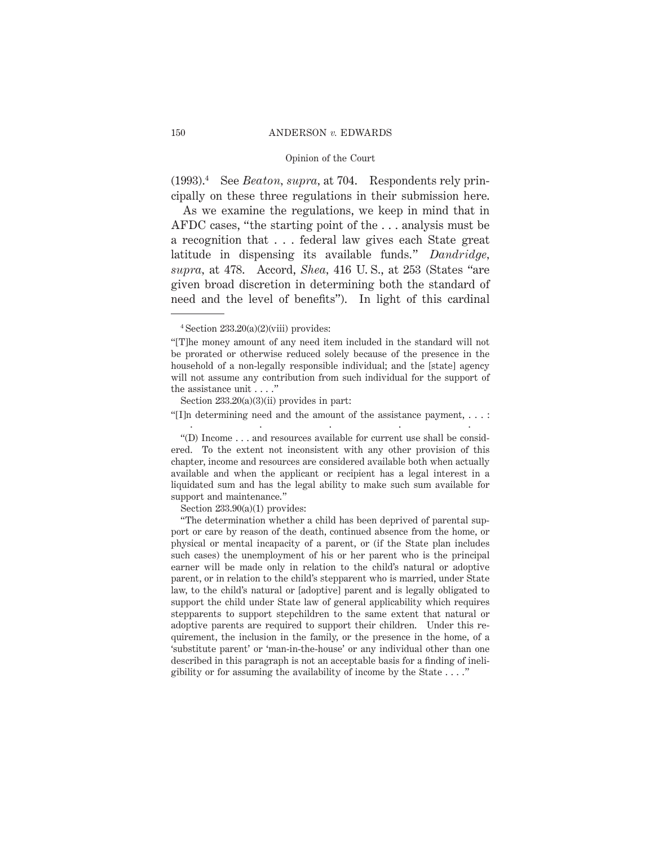## 150 ANDERSON *v.* EDWARDS

## Opinion of the Court

(1993).4 See *Beaton, supra,* at 704. Respondents rely principally on these three regulations in their submission here.

As we examine the regulations, we keep in mind that in AFDC cases, "the starting point of the . . . analysis must be a recognition that . . . federal law gives each State great latitude in dispensing its available funds." *Dandridge, supra,* at 478. Accord, *Shea,* 416 U. S., at 253 (States "are given broad discretion in determining both the standard of need and the level of benefits"). In light of this cardinal

Section  $233.20(a)(3)(ii)$  provides in part:

"[I]n determining need and the amount of the assistance payment, . . . : .....

"(D) Income . . . and resources available for current use shall be considered. To the extent not inconsistent with any other provision of this chapter, income and resources are considered available both when actually available and when the applicant or recipient has a legal interest in a liquidated sum and has the legal ability to make such sum available for support and maintenance."

Section  $233.90(a)(1)$  provides:

 $4$  Section  $233.20(a)(2)(viii)$  provides:

<sup>&</sup>quot;[T]he money amount of any need item included in the standard will not be prorated or otherwise reduced solely because of the presence in the household of a non-legally responsible individual; and the [state] agency will not assume any contribution from such individual for the support of the assistance unit . . . ."

<sup>&</sup>quot;The determination whether a child has been deprived of parental support or care by reason of the death, continued absence from the home, or physical or mental incapacity of a parent, or (if the State plan includes such cases) the unemployment of his or her parent who is the principal earner will be made only in relation to the child's natural or adoptive parent, or in relation to the child's stepparent who is married, under State law, to the child's natural or [adoptive] parent and is legally obligated to support the child under State law of general applicability which requires stepparents to support stepchildren to the same extent that natural or adoptive parents are required to support their children. Under this requirement, the inclusion in the family, or the presence in the home, of a 'substitute parent' or 'man-in-the-house' or any individual other than one described in this paragraph is not an acceptable basis for a finding of ineligibility or for assuming the availability of income by the State  $\dots$ ."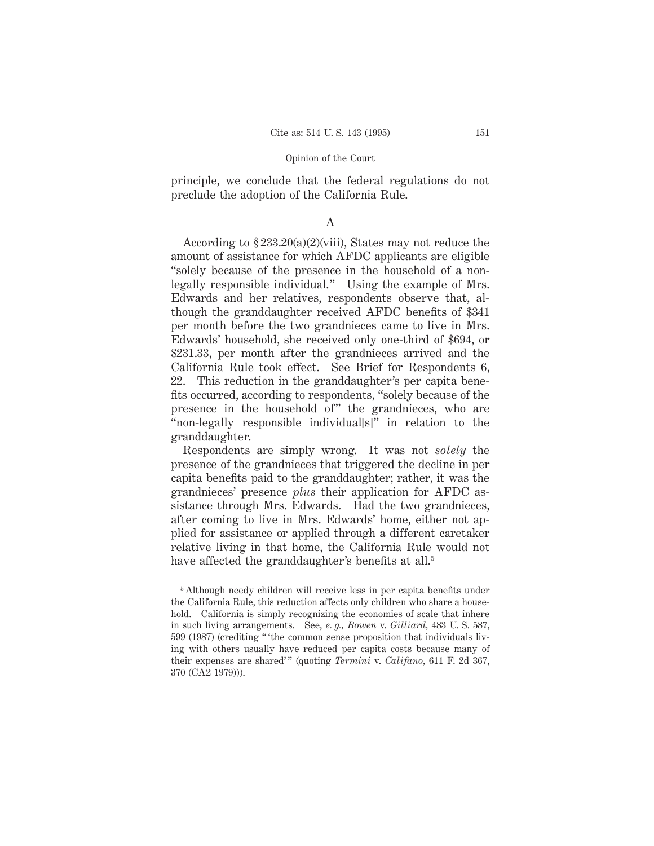principle, we conclude that the federal regulations do not preclude the adoption of the California Rule.

## A

According to § 233.20(a)(2)(viii), States may not reduce the amount of assistance for which AFDC applicants are eligible "solely because of the presence in the household of a nonlegally responsible individual." Using the example of Mrs. Edwards and her relatives, respondents observe that, although the granddaughter received AFDC benefits of \$341 per month before the two grandnieces came to live in Mrs. Edwards' household, she received only one-third of \$694, or \$231.33, per month after the grandnieces arrived and the California Rule took effect. See Brief for Respondents 6, 22. This reduction in the granddaughter's per capita benefits occurred, according to respondents, "solely because of the presence in the household of" the grandnieces, who are "non-legally responsible individual[s]" in relation to the granddaughter.

Respondents are simply wrong. It was not *solely* the presence of the grandnieces that triggered the decline in per capita benefits paid to the granddaughter; rather, it was the grandnieces' presence *plus* their application for AFDC assistance through Mrs. Edwards. Had the two grandnieces, after coming to live in Mrs. Edwards' home, either not applied for assistance or applied through a different caretaker relative living in that home, the California Rule would not have affected the granddaughter's benefits at all.<sup>5</sup>

<sup>5</sup> Although needy children will receive less in per capita benefits under the California Rule, this reduction affects only children who share a household. California is simply recognizing the economies of scale that inhere in such living arrangements. See, *e. g., Bowen* v. *Gilliard,* 483 U. S. 587, 599 (1987) (crediting " 'the common sense proposition that individuals living with others usually have reduced per capita costs because many of their expenses are shared' " (quoting *Termini* v. *Califano,* 611 F. 2d 367, 370 (CA2 1979))).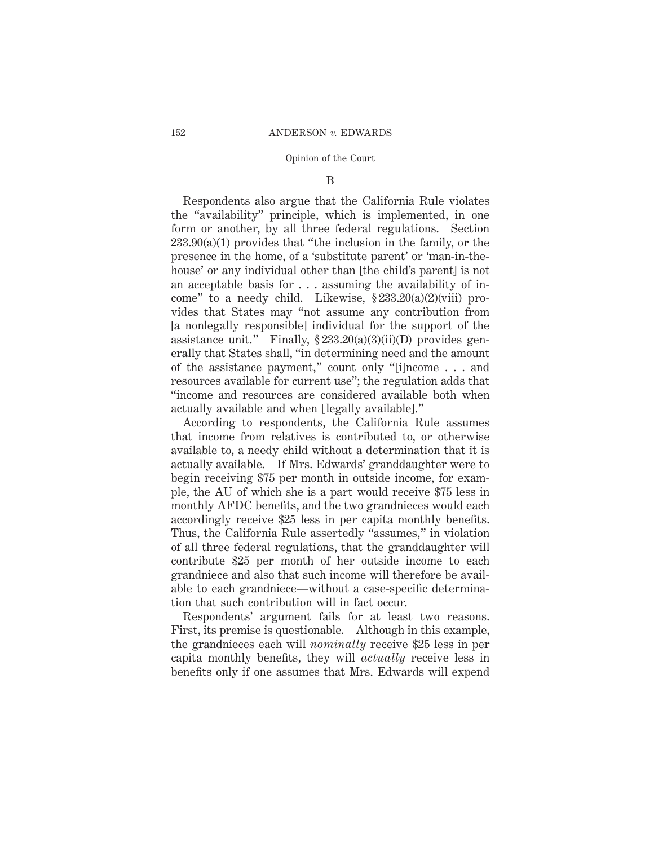## B

Respondents also argue that the California Rule violates the "availability" principle, which is implemented, in one form or another, by all three federal regulations. Section  $233.90(a)(1)$  provides that "the inclusion in the family, or the presence in the home, of a 'substitute parent' or 'man-in-thehouse' or any individual other than [the child's parent] is not an acceptable basis for . . . assuming the availability of income" to a needy child. Likewise, § 233.20(a)(2)(viii) provides that States may "not assume any contribution from [a nonlegally responsible] individual for the support of the assistance unit." Finally,  $\S 233.20(a)(3)(ii)(D)$  provides generally that States shall, "in determining need and the amount of the assistance payment," count only "[i]ncome . . . and resources available for current use"; the regulation adds that "income and resources are considered available both when actually available and when [legally available]."

According to respondents, the California Rule assumes that income from relatives is contributed to, or otherwise available to, a needy child without a determination that it is actually available. If Mrs. Edwards' granddaughter were to begin receiving \$75 per month in outside income, for example, the AU of which she is a part would receive \$75 less in monthly AFDC benefits, and the two grandnieces would each accordingly receive \$25 less in per capita monthly benefits. Thus, the California Rule assertedly "assumes," in violation of all three federal regulations, that the granddaughter will contribute \$25 per month of her outside income to each grandniece and also that such income will therefore be available to each grandniece—without a case-specific determination that such contribution will in fact occur.

Respondents' argument fails for at least two reasons. First, its premise is questionable. Although in this example, the grandnieces each will *nominally* receive \$25 less in per capita monthly benefits, they will *actually* receive less in benefits only if one assumes that Mrs. Edwards will expend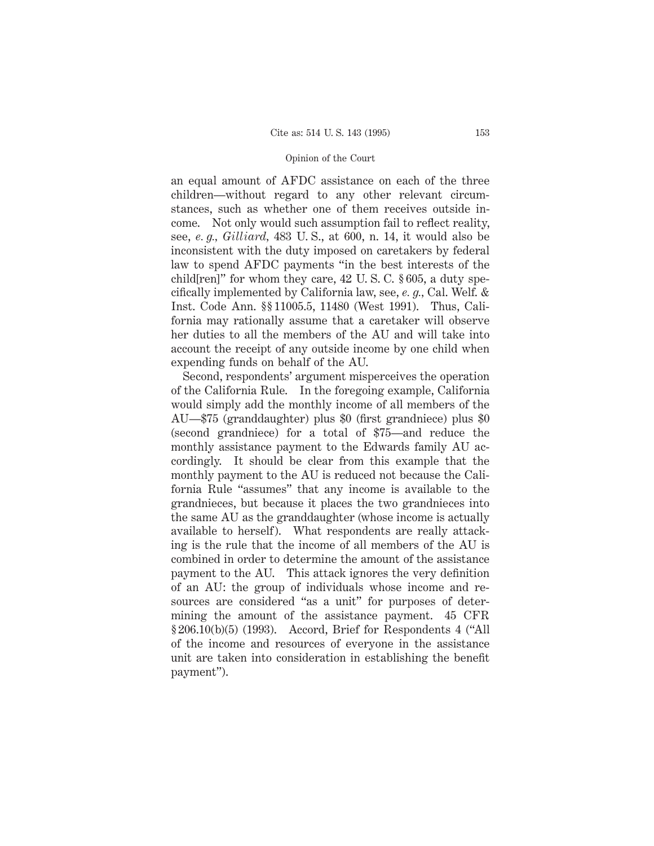an equal amount of AFDC assistance on each of the three children—without regard to any other relevant circumstances, such as whether one of them receives outside income. Not only would such assumption fail to reflect reality, see, *e. g., Gilliard,* 483 U. S., at 600, n. 14, it would also be inconsistent with the duty imposed on caretakers by federal law to spend AFDC payments "in the best interests of the child[ren]" for whom they care, 42 U. S. C. § 605, a duty specifically implemented by California law, see, *e. g.,* Cal. Welf. & Inst. Code Ann. §§ 11005.5, 11480 (West 1991). Thus, California may rationally assume that a caretaker will observe her duties to all the members of the AU and will take into account the receipt of any outside income by one child when expending funds on behalf of the AU.

Second, respondents' argument misperceives the operation of the California Rule. In the foregoing example, California would simply add the monthly income of all members of the AU—\$75 (granddaughter) plus \$0 (first grandniece) plus \$0 (second grandniece) for a total of \$75—and reduce the monthly assistance payment to the Edwards family AU accordingly. It should be clear from this example that the monthly payment to the AU is reduced not because the California Rule "assumes" that any income is available to the grandnieces, but because it places the two grandnieces into the same AU as the granddaughter (whose income is actually available to herself). What respondents are really attacking is the rule that the income of all members of the AU is combined in order to determine the amount of the assistance payment to the AU. This attack ignores the very definition of an AU: the group of individuals whose income and resources are considered "as a unit" for purposes of determining the amount of the assistance payment. 45 CFR § 206.10(b)(5) (1993). Accord, Brief for Respondents 4 ("All of the income and resources of everyone in the assistance unit are taken into consideration in establishing the benefit payment").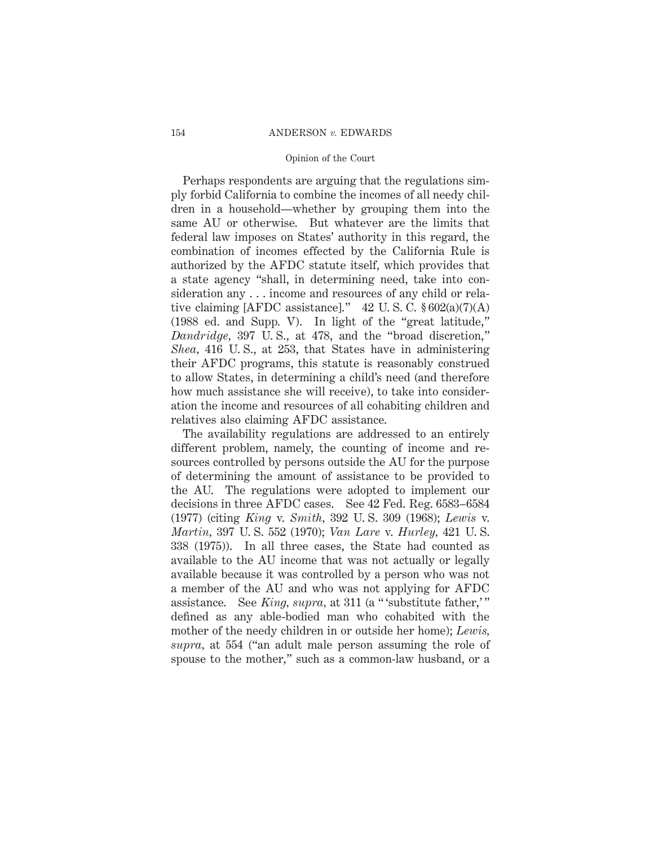## 154 ANDERSON *v.* EDWARDS

### Opinion of the Court

Perhaps respondents are arguing that the regulations simply forbid California to combine the incomes of all needy children in a household—whether by grouping them into the same AU or otherwise. But whatever are the limits that federal law imposes on States' authority in this regard, the combination of incomes effected by the California Rule is authorized by the AFDC statute itself, which provides that a state agency "shall, in determining need, take into consideration any . . . income and resources of any child or relative claiming [AFDC assistance]."  $42 \text{ U.S. C. }$  \$602(a)(7)(A) (1988 ed. and Supp. V). In light of the "great latitude," *Dandridge,* 397 U. S., at 478, and the "broad discretion," *Shea,* 416 U. S., at 253, that States have in administering their AFDC programs, this statute is reasonably construed to allow States, in determining a child's need (and therefore how much assistance she will receive), to take into consideration the income and resources of all cohabiting children and relatives also claiming AFDC assistance.

The availability regulations are addressed to an entirely different problem, namely, the counting of income and resources controlled by persons outside the AU for the purpose of determining the amount of assistance to be provided to the AU. The regulations were adopted to implement our decisions in three AFDC cases. See 42 Fed. Reg. 6583–6584 (1977) (citing *King* v. *Smith,* 392 U. S. 309 (1968); *Lewis* v. *Martin,* 397 U. S. 552 (1970); *Van Lare* v. *Hurley,* 421 U. S. 338 (1975)). In all three cases, the State had counted as available to the AU income that was not actually or legally available because it was controlled by a person who was not a member of the AU and who was not applying for AFDC assistance. See *King, supra,* at 311 (a " 'substitute father,' " defined as any able-bodied man who cohabited with the mother of the needy children in or outside her home); *Lewis, supra,* at 554 ("an adult male person assuming the role of spouse to the mother," such as a common-law husband, or a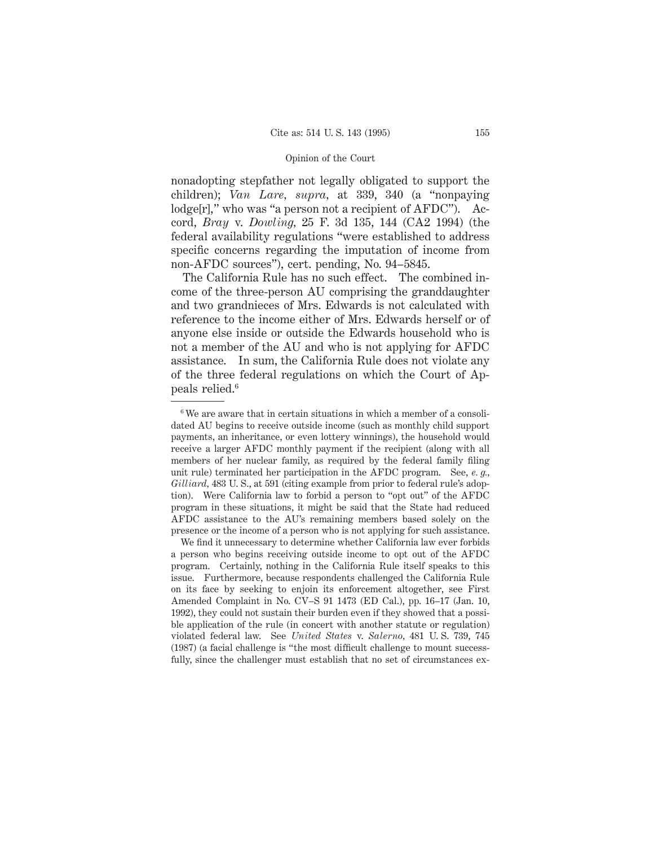nonadopting stepfather not legally obligated to support the children); *Van Lare, supra,* at 339, 340 (a "nonpaying lodge[r]," who was "a person not a recipient of AFDC"). Accord, *Bray* v. *Dowling,* 25 F. 3d 135, 144 (CA2 1994) (the federal availability regulations "were established to address specific concerns regarding the imputation of income from non-AFDC sources"), cert. pending, No. 94–5845.

The California Rule has no such effect. The combined income of the three-person AU comprising the granddaughter and two grandnieces of Mrs. Edwards is not calculated with reference to the income either of Mrs. Edwards herself or of anyone else inside or outside the Edwards household who is not a member of the AU and who is not applying for AFDC assistance. In sum, the California Rule does not violate any of the three federal regulations on which the Court of Appeals relied.6

<sup>6</sup> We are aware that in certain situations in which a member of a consolidated AU begins to receive outside income (such as monthly child support payments, an inheritance, or even lottery winnings), the household would receive a larger AFDC monthly payment if the recipient (along with all members of her nuclear family, as required by the federal family filing unit rule) terminated her participation in the AFDC program. See, *e. g., Gilliard,* 483 U. S., at 591 (citing example from prior to federal rule's adoption). Were California law to forbid a person to "opt out" of the AFDC program in these situations, it might be said that the State had reduced AFDC assistance to the AU's remaining members based solely on the presence or the income of a person who is not applying for such assistance.

We find it unnecessary to determine whether California law ever forbids a person who begins receiving outside income to opt out of the AFDC program. Certainly, nothing in the California Rule itself speaks to this issue. Furthermore, because respondents challenged the California Rule on its face by seeking to enjoin its enforcement altogether, see First Amended Complaint in No. CV–S 91 1473 (ED Cal.), pp. 16–17 (Jan. 10, 1992), they could not sustain their burden even if they showed that a possible application of the rule (in concert with another statute or regulation) violated federal law. See *United States* v. *Salerno,* 481 U. S. 739, 745 (1987) (a facial challenge is "the most difficult challenge to mount successfully, since the challenger must establish that no set of circumstances ex-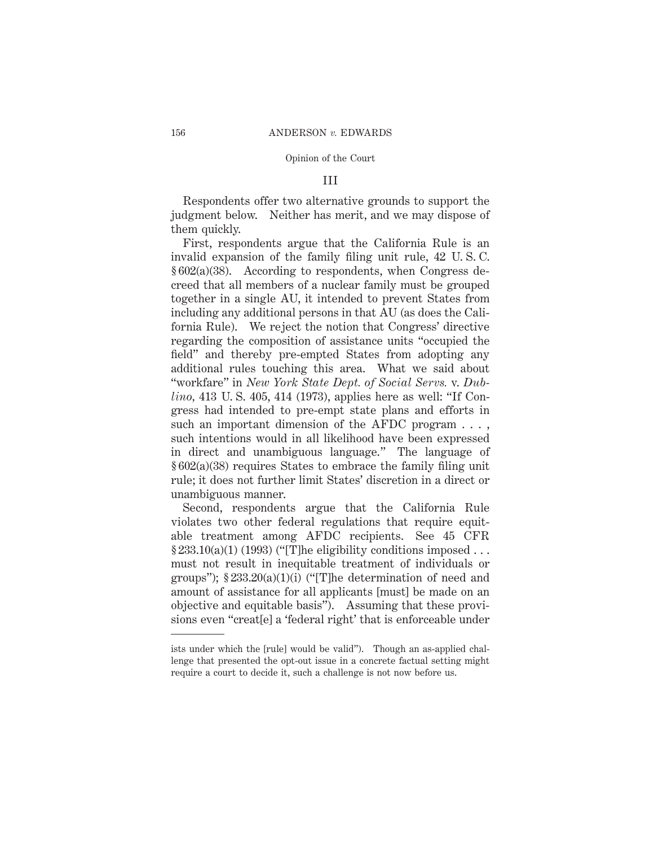## III

Respondents offer two alternative grounds to support the judgment below. Neither has merit, and we may dispose of them quickly.

First, respondents argue that the California Rule is an invalid expansion of the family filing unit rule, 42 U. S. C. § 602(a)(38). According to respondents, when Congress decreed that all members of a nuclear family must be grouped together in a single AU, it intended to prevent States from including any additional persons in that AU (as does the California Rule). We reject the notion that Congress' directive regarding the composition of assistance units "occupied the field" and thereby pre-empted States from adopting any additional rules touching this area. What we said about "workfare" in *New York State Dept. of Social Servs.* v. *Dublino,* 413 U. S. 405, 414 (1973), applies here as well: "If Congress had intended to pre-empt state plans and efforts in such an important dimension of the AFDC program . . . , such intentions would in all likelihood have been expressed in direct and unambiguous language." The language of § 602(a)(38) requires States to embrace the family filing unit rule; it does not further limit States' discretion in a direct or unambiguous manner.

Second, respondents argue that the California Rule violates two other federal regulations that require equitable treatment among AFDC recipients. See 45 CFR  $\S 233.10(a)(1)$  (1993) ("The eligibility conditions imposed ... must not result in inequitable treatment of individuals or groups");  $\S 233.20(a)(1)(i)$  ("The determination of need and amount of assistance for all applicants [must] be made on an objective and equitable basis"). Assuming that these provisions even "creat[e] a 'federal right' that is enforceable under

ists under which the [rule] would be valid"). Though an as-applied challenge that presented the opt-out issue in a concrete factual setting might require a court to decide it, such a challenge is not now before us.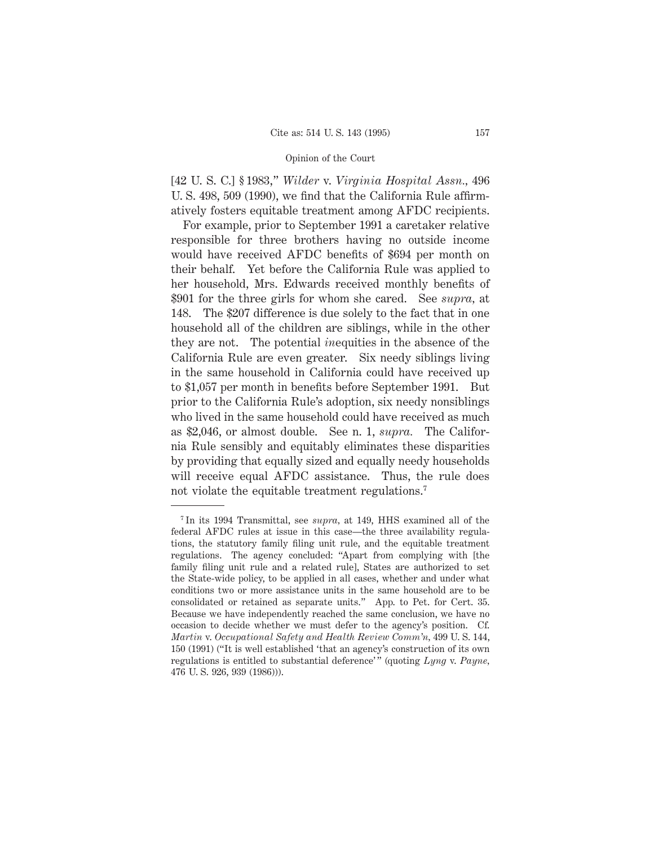[42 U. S. C.] § 1983," *Wilder* v. *Virginia Hospital Assn.,* 496 U. S. 498, 509 (1990), we find that the California Rule affirmatively fosters equitable treatment among AFDC recipients.

For example, prior to September 1991 a caretaker relative responsible for three brothers having no outside income would have received AFDC benefits of \$694 per month on their behalf. Yet before the California Rule was applied to her household, Mrs. Edwards received monthly benefits of \$901 for the three girls for whom she cared. See *supra,* at 148. The \$207 difference is due solely to the fact that in one household all of the children are siblings, while in the other they are not. The potential *in*equities in the absence of the California Rule are even greater. Six needy siblings living in the same household in California could have received up to \$1,057 per month in benefits before September 1991. But prior to the California Rule's adoption, six needy nonsiblings who lived in the same household could have received as much as \$2,046, or almost double. See n. 1, *supra.* The California Rule sensibly and equitably eliminates these disparities by providing that equally sized and equally needy households will receive equal AFDC assistance. Thus, the rule does not violate the equitable treatment regulations.<sup>7</sup>

<sup>7</sup> In its 1994 Transmittal, see *supra,* at 149, HHS examined all of the federal AFDC rules at issue in this case—the three availability regulations, the statutory family filing unit rule, and the equitable treatment regulations. The agency concluded: "Apart from complying with [the family filing unit rule and a related rule], States are authorized to set the State-wide policy, to be applied in all cases, whether and under what conditions two or more assistance units in the same household are to be consolidated or retained as separate units." App. to Pet. for Cert. 35. Because we have independently reached the same conclusion, we have no occasion to decide whether we must defer to the agency's position. Cf. *Martin* v. *Occupational Safety and Health Review Comm'n,* 499 U. S. 144, 150 (1991) ("It is well established 'that an agency's construction of its own regulations is entitled to substantial deference' " (quoting *Lyng* v. *Payne,* 476 U. S. 926, 939 (1986))).